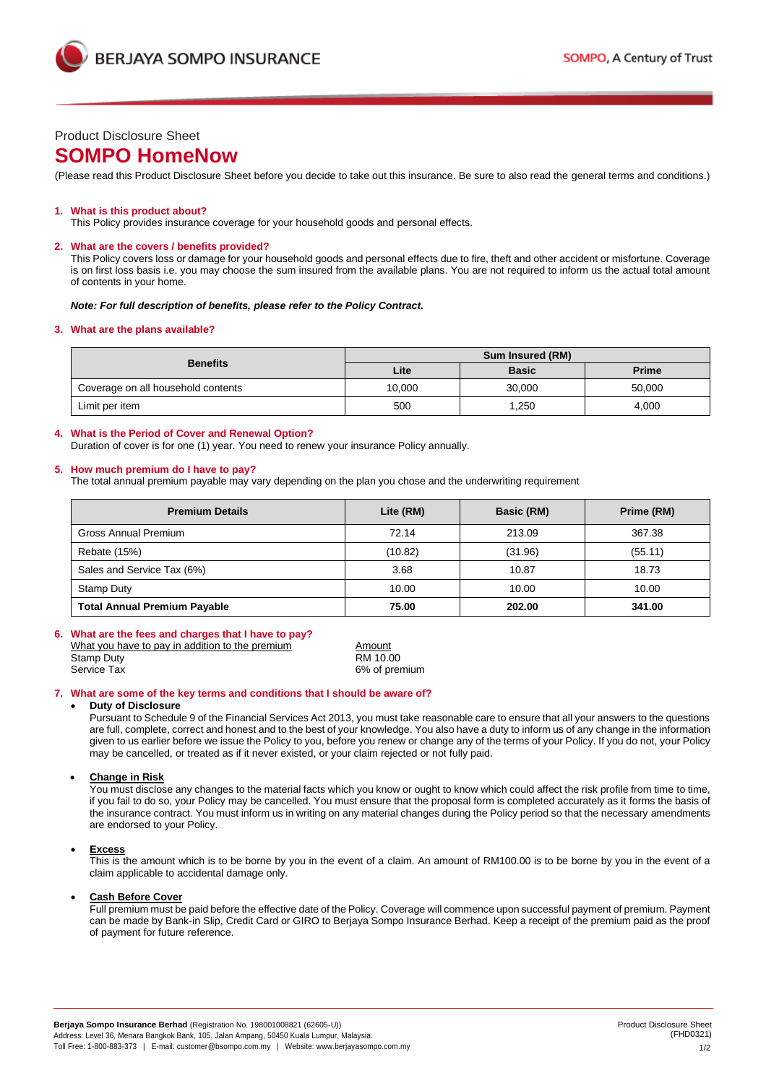



# Product Disclosure Sheet

# **SOMPO HomeNow**

(Please read this Product Disclosure Sheet before you decide to take out this insurance. Be sure to also read the general terms and conditions.)

### **1. What is this product about?**

This Policy provides insurance coverage for your household goods and personal effects.

### **2. What are the covers / benefits provided?**

This Policy covers loss or damage for your household goods and personal effects due to fire, theft and other accident or misfortune. Coverage is on first loss basis i.e. you may choose the sum insured from the available plans. You are not required to inform us the actual total amount of contents in your home.

#### *Note: For full description of benefits, please refer to the Policy Contract.*

### **3. What are the plans available?**

| <b>Benefits</b>                    | <b>Sum Insured (RM)</b> |              |              |
|------------------------------------|-------------------------|--------------|--------------|
|                                    | Lite                    | <b>Basic</b> | <b>Prime</b> |
| Coverage on all household contents | 10.000                  | 30.000       | 50.000       |
| Limit per item                     | 500                     | ,250         | 4,000        |

## **4. What is the Period of Cover and Renewal Option?**

Duration of cover is for one (1) year. You need to renew your insurance Policy annually.

### **5. How much premium do I have to pay?**

The total annual premium payable may vary depending on the plan you chose and the underwriting requirement

| <b>Premium Details</b>              | Lite (RM) | Basic (RM) | Prime (RM) |
|-------------------------------------|-----------|------------|------------|
| <b>Gross Annual Premium</b>         | 72.14     | 213.09     | 367.38     |
| Rebate (15%)                        | (10.82)   | (31.96)    | (55.11)    |
| Sales and Service Tax (6%)          | 3.68      | 10.87      | 18.73      |
| <b>Stamp Duty</b>                   | 10.00     | 10.00      | 10.00      |
| <b>Total Annual Premium Payable</b> | 75.00     | 202.00     | 341.00     |

# **6. What are the fees and charges that I have to pay?**

| What you have to pay in addition to the premium | Amount        |
|-------------------------------------------------|---------------|
| Stamp Duty                                      | RM 10.00      |
| Service Tax                                     | 6% of premium |

 $\overline{\text{RM} 10.00}$ 

### **7. What are some of the key terms and conditions that I should be aware of?**

#### • **Duty of Disclosure**

Pursuant to Schedule 9 of the Financial Services Act 2013, you must take reasonable care to ensure that all your answers to the questions are full, complete, correct and honest and to the best of your knowledge. You also have a duty to inform us of any change in the information given to us earlier before we issue the Policy to you, before you renew or change any of the terms of your Policy. If you do not, your Policy may be cancelled, or treated as if it never existed, or your claim rejected or not fully paid.

# • **Change in Risk**

You must disclose any changes to the material facts which you know or ought to know which could affect the risk profile from time to time, if you fail to do so, your Policy may be cancelled. You must ensure that the proposal form is completed accurately as it forms the basis of the insurance contract. You must inform us in writing on any material changes during the Policy period so that the necessary amendments are endorsed to your Policy.

### • **Excess**

This is the amount which is to be borne by you in the event of a claim. An amount of RM100.00 is to be borne by you in the event of a claim applicable to accidental damage only.

### • **Cash Before Cover**

Full premium must be paid before the effective date of the Policy. Coverage will commence upon successful payment of premium. Payment can be made by Bank-in Slip, Credit Card or GIRO to Berjaya Sompo Insurance Berhad. Keep a receipt of the premium paid as the proof of payment for future reference.